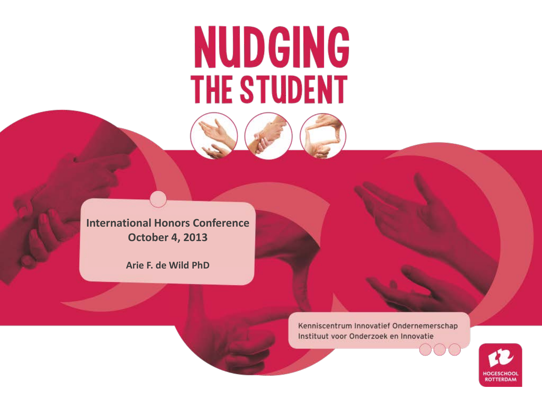# **NUDGING THE STUDENT**

**International Honors Conference October 4, 2013**

**Arie F. de Wild PhD**

Kenniscentrum Innovatief Ondernemerschap Instituut voor Onderzoek en Innovatie

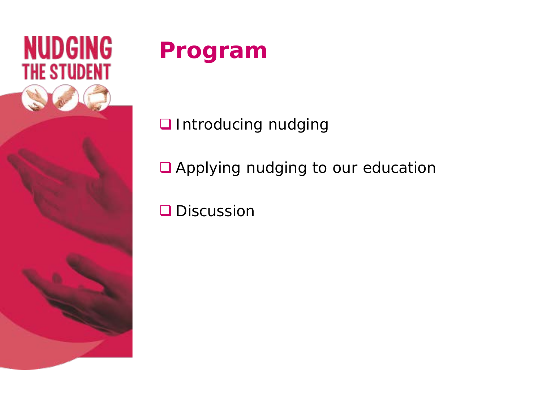

#### **Program**

Introducing *nudging*

Applying *nudging* to our education

**Q** Discussion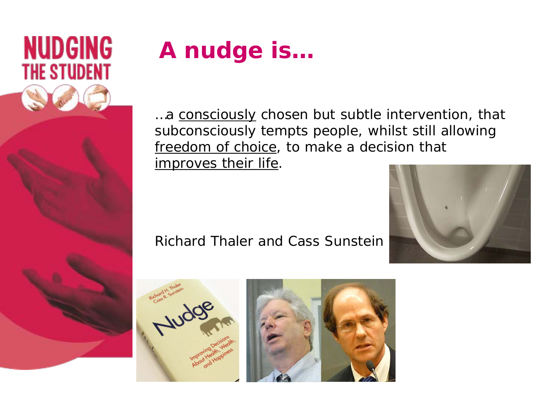

## **A nudge is…**

...a consciously chosen but subtle intervention, that subconsciously tempts people, whilst still allowing freedom of choice, to make a decision that improves their life.





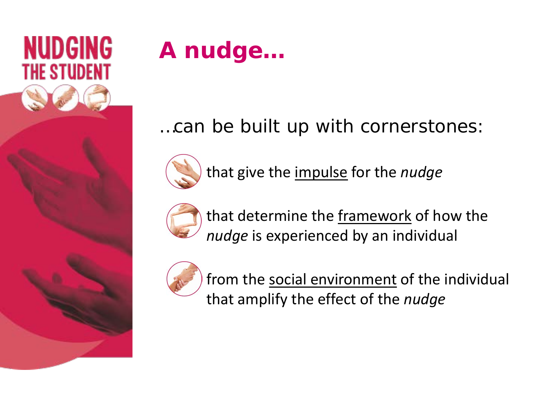

#### **A nudge…**

#### …can be built up with cornerstones:



that give the impulse for the *nudge*



that determine the framework of how the *nudge* is experienced by an individual



from the social environment of the individual that amplify the effect of the *nudge*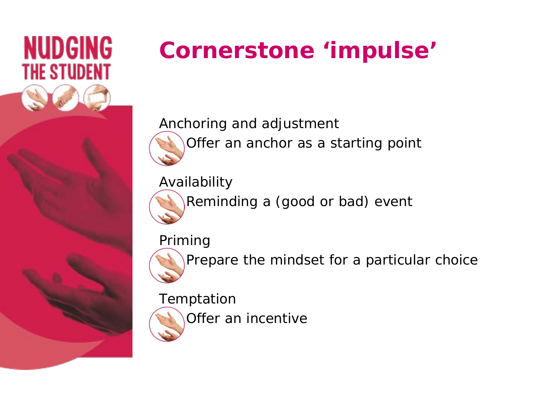

## **Cornerstone 'impulse'**

*Anchoring and adjustment* Offer an anchor as a starting point

*Availability*

Reminding a (good or bad) event

*Priming*



Prepare the mindset for a particular choice

*Temptation*

Offer an incentive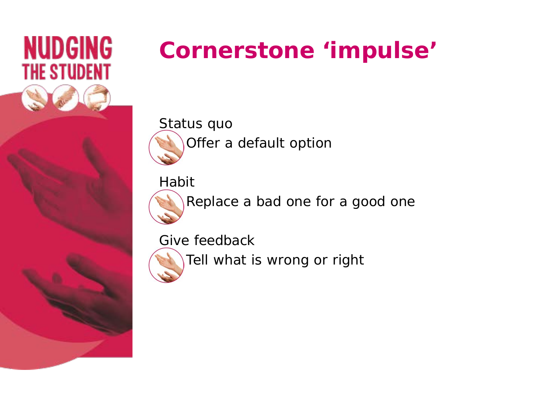

#### **Cornerstone 'impulse'**

*Status quo* Offer a default option

*Habit*

Replace a bad one for a good one

*Give feedback*

![](_page_5_Picture_6.jpeg)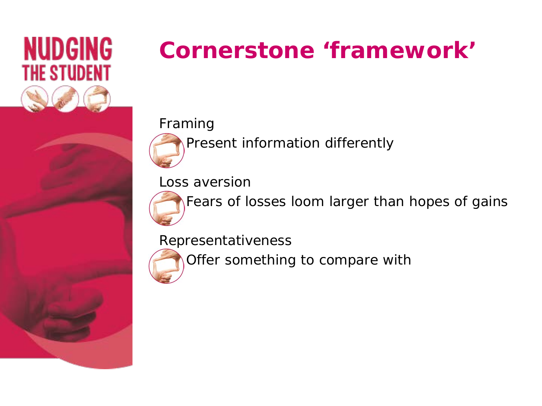![](_page_6_Picture_0.jpeg)

#### **Cornerstone 'framework'**

#### *Framing*

Present information differently

*Loss aversion*

Fears of losses loom larger than hopes of gains

*Representativeness*

![](_page_6_Picture_7.jpeg)

Offer something to compare with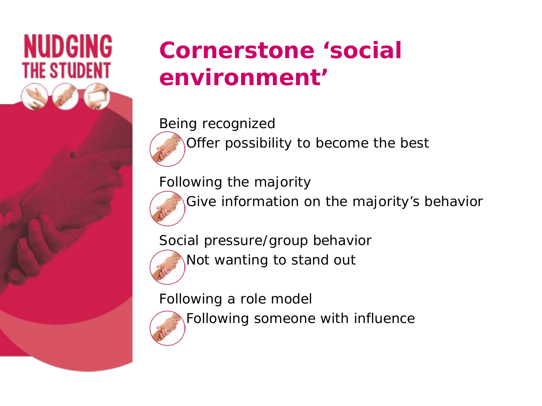![](_page_7_Picture_0.jpeg)

#### **Cornerstone 'social environment'**

*Being recognized* Offer possibility to become the best

*Following the majority*

Give information on the majority's behavior

*Social pressure/group behavior* Not wanting to stand out

*Following a role model*

Following someone with influence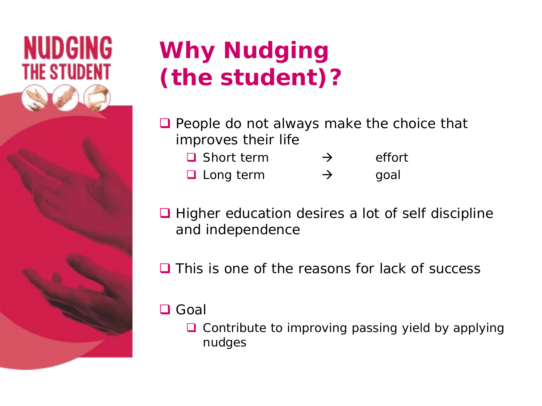![](_page_8_Picture_0.jpeg)

#### **Why** *Nudging (the student)***?**

People do not always make the choice that improves their life

| $\Box$ Short term | $\rightarrow$ | effort |
|-------------------|---------------|--------|
| $\Box$ Long term  | $\rightarrow$ | goal   |

- **■** Higher education desires a lot of self discipline and independence
- $\Box$  This is one of the reasons for lack of success
- **□** Goal
	- $\Box$  Contribute to improving passing yield by applying nudges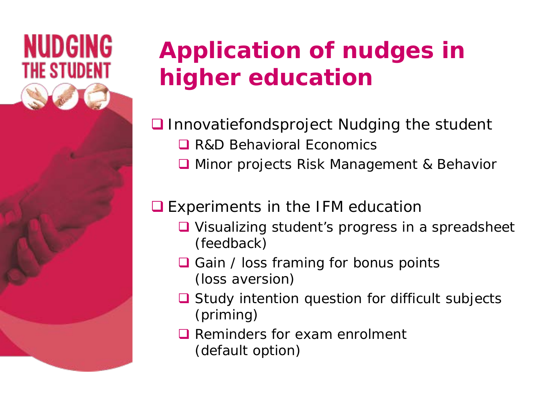![](_page_9_Picture_0.jpeg)

#### **Application of nudges in higher education**

- Innovatiefondsproject *Nudging the student* 
	- **Q** R&D Behavioral Economics
	- **Q** Minor projects Risk Management & Behavior

#### **■** Experiments in the IFM education

- **■** Visualizing student's progress in a spreadsheet (*feedback*)
- $\Box$  Gain / loss framing for bonus points (*loss aversion*)
- **■** Study intention question for difficult subjects (*priming*)
- **Q** Reminders for exam enrolment (*default option)*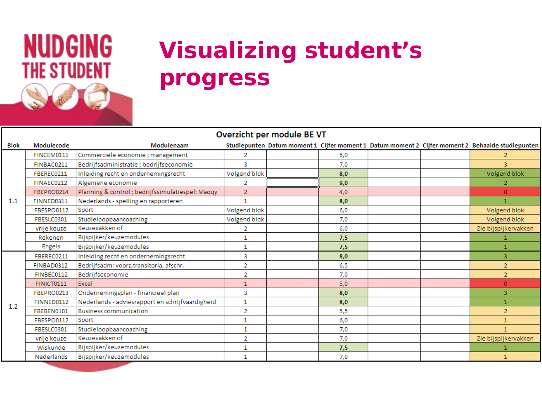## **NUDGING THE STUDENT**

#### **Visualizing student's progress**

| Overzicht per module BE VT |               |                                                  |                |  |     |  |  |                                                                                                  |
|----------------------------|---------------|--------------------------------------------------|----------------|--|-----|--|--|--------------------------------------------------------------------------------------------------|
| Blok                       | Modulecode    | Modulenaam                                       |                |  |     |  |  | Studiepunten Datum moment 1 Cijfer moment 1 Datum moment 2 Cijfer moment 2 Behaalde studiepunten |
| 1.1                        | FINCEM0111    | Commerciële economie ; management                | 2              |  | 6,0 |  |  | 2.                                                                                               |
|                            | FINBAC0211    | Bedrijfsadministratie; bedrijfseconomie          | 3              |  | 7,0 |  |  | 3                                                                                                |
|                            | FBEREC0211    | Inleiding recht en ondernemingsrecht             | Volgend blok   |  | 8,0 |  |  | Volgend blok                                                                                     |
|                            | FINAEC0212    | Algemene economie                                | 2              |  | 9,0 |  |  |                                                                                                  |
|                            | FBEPRO0214    | Planning & control; bedrijfssimulatiespel: Maqqy | $\overline{2}$ |  | 4,0 |  |  | $\overline{0}$                                                                                   |
|                            | FINNED0311    | Nederlands - spelling en rapporteren             | 1              |  | 8,0 |  |  |                                                                                                  |
|                            | FBESPO0112    | Sport                                            | Volgend blok   |  | 6,0 |  |  | Volgend blok                                                                                     |
|                            | FBESLC0301    | Studieloopbaancoaching                           | Volgend blok   |  | 7.0 |  |  | Volgend blok                                                                                     |
|                            | vrije keuze   | Keuzevakken of                                   | 2              |  | 6,0 |  |  | Zie bijspijkervakken                                                                             |
|                            | Rekenen       | Bijspijker/keuzemodules                          | 1              |  | 7,5 |  |  |                                                                                                  |
|                            | <b>Engels</b> | Bijspijker/keuzemodules                          | 1              |  | 7,5 |  |  |                                                                                                  |
|                            | FBEREC0211    | Inleiding recht en ondernemingsrecht             | 3              |  | 8,0 |  |  | 3                                                                                                |
|                            | FINBAD0312    | Bedrijfsadm: voorz, transitoria, afschr.         | 2              |  | 6,5 |  |  | $\overline{2}$                                                                                   |
| 1.2                        | FINBEC0112    | Bedriifseconomie                                 | $\overline{2}$ |  | 7.0 |  |  | $\overline{2}$                                                                                   |
|                            | FINICT0111    | Excel                                            | 1              |  | 5,0 |  |  | $\mathbf{0}$                                                                                     |
|                            | FBEPRO0213    | Ondernemingsplan - financieel plan               | 3              |  | 8,0 |  |  | 3                                                                                                |
|                            | FINNED0112    | Nederlands - adviesrapport en schrijfvaardigheid | $\mathbf{1}$   |  | 8,0 |  |  |                                                                                                  |
|                            | FBEBEN0101    | <b>Business communication</b>                    | 2              |  | 5,5 |  |  | $\overline{2}$                                                                                   |
|                            | FBESPO0112    | Sport                                            | 1              |  | 6,0 |  |  | $\mathbf{1}$                                                                                     |
|                            | FBESLC0301    | Studieloopbaancoaching                           | 1              |  | 7,0 |  |  |                                                                                                  |
|                            | vrije keuze   | Keuzevakken of                                   | 2              |  | 7.0 |  |  | Zie bijspijkervakken                                                                             |
|                            | Wiskunde      | Bijspijker/keuzemodules                          | 1              |  | 7,5 |  |  |                                                                                                  |
|                            | Nederlands    | Bijspijker/keuzemodules                          | 1              |  | 7,0 |  |  |                                                                                                  |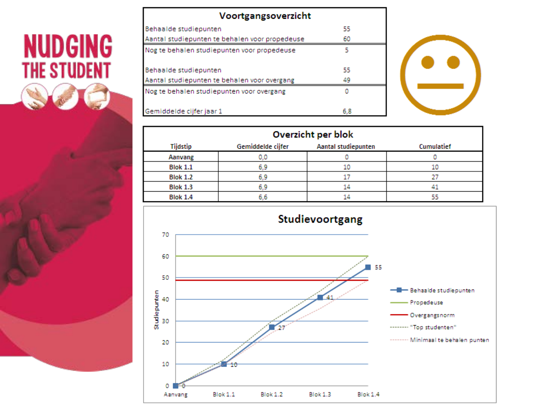# **NUDGING**<br>THE STUDENT

| Voortgangsoverzicht                            |     |  |  |  |
|------------------------------------------------|-----|--|--|--|
| Behaalde studiepunten                          | 55  |  |  |  |
| Aantal studiepunten te behalen voor propedeuse | 60  |  |  |  |
| Nog te behalen studiepunten voor propedeuse    | 5   |  |  |  |
|                                                |     |  |  |  |
| Behaalde studiepunten                          | 55  |  |  |  |
| Aantal studiepunten te behalen voor overgang   | 49  |  |  |  |
| Nog te behalen studiepunten voor overgang      |     |  |  |  |
| Gemiddelde ciifer jaar 1                       | 6.8 |  |  |  |

![](_page_11_Picture_2.jpeg)

| Overzicht per blok |                   |                     |            |  |  |
|--------------------|-------------------|---------------------|------------|--|--|
| Tijdstip           | Gemiddelde cijfer | Aantal studiepunten | Cumulatief |  |  |
| Aanvang            | 0.0               |                     |            |  |  |
| <b>Blok 1.1</b>    | 6.9               | 10                  | 10         |  |  |
| <b>Blok 1.2</b>    | 6.9               |                     |            |  |  |
| <b>Blok 1.3</b>    | 6.9               | 14                  |            |  |  |
| <b>Blok 1.4</b>    | 6.6               | 14                  | 55         |  |  |

![](_page_11_Figure_4.jpeg)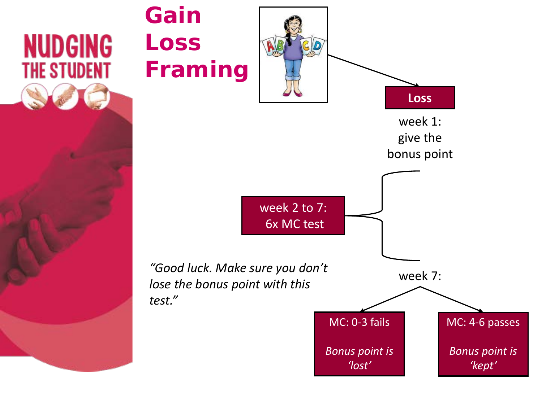![](_page_12_Figure_0.jpeg)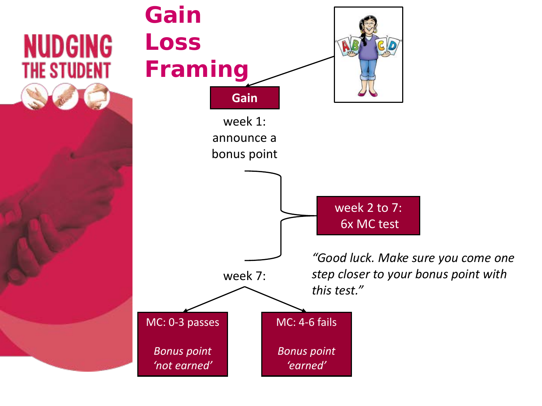![](_page_13_Figure_0.jpeg)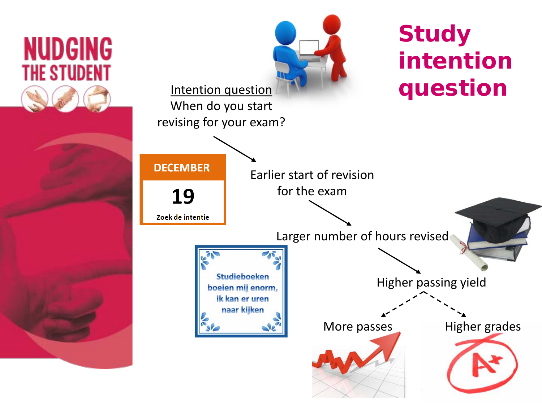![](_page_14_Figure_0.jpeg)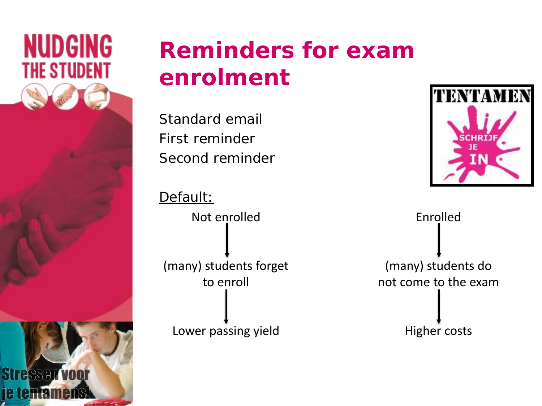![](_page_15_Picture_0.jpeg)

#### **Reminders for exam enrolment**

Standard email First reminder Second reminder

Default: Not enrolled (many) students forget to enroll

Lower passing yield

![](_page_15_Picture_5.jpeg)

Enrolled (many) students do not come to the exam

Higher costs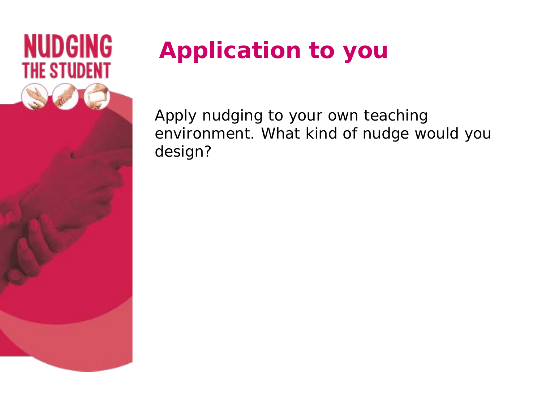![](_page_16_Picture_0.jpeg)

## **Application to you**

Apply nudging to your own teaching environment. What kind of nudge would you design?